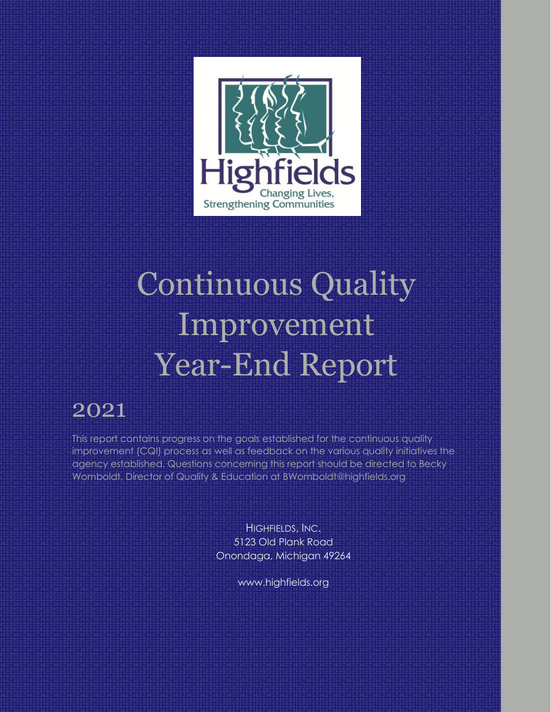

# Continuous Quality Improvement Year-End Report

# 2021

This report contains progress on the goals established for the continuous quality improvement (CQI) process as well as feedback on the various quality initiatives the agency established. Questions concerning this report should be directed to Becky Womboldt, Director of Quality & Education at BWomboldt@highfields.org

> HIGHFIELDS, INC. 5123 Old Plank Road Onondaga, Michigan 49264

> > www.highfields.org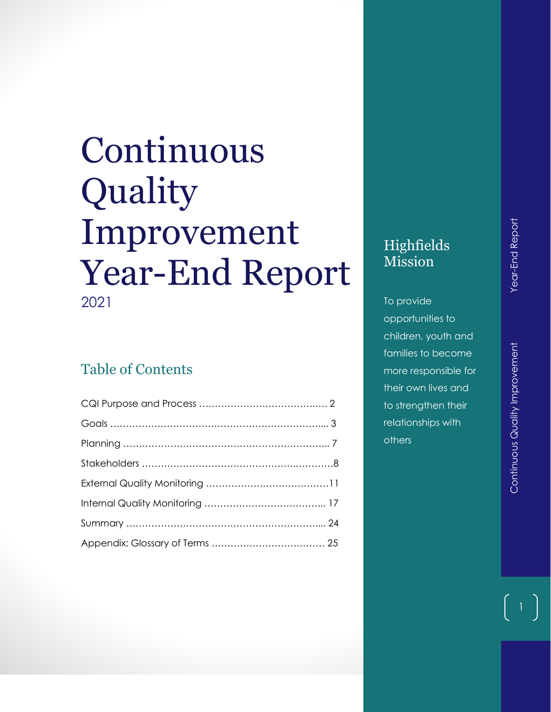# Continuous Quality Improvement Year -End Report 2021

# Table of Contents

# Highfields Mission

To provide opportunities to children, youth and families to become more responsible for their own lives and to strengthen their relationships with others

 $\vert$  1  $\vert$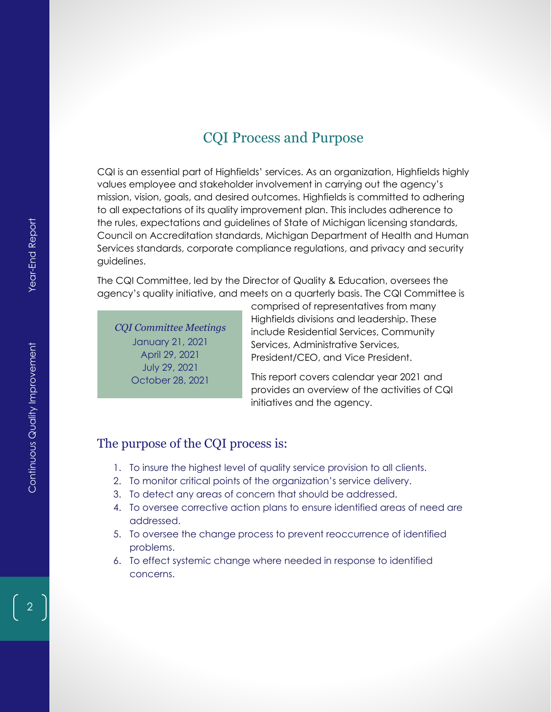# CQI Process and Purpose

CQI is an essential part of Highfields' services. As an organization, Highfields highly values employee and stakeholder involvement in carrying out the agency's mission, vision, goals, and desired outcomes. Highfields is committed to adhering to all expectations of its quality improvement plan. This includes adherence to the rules, expectations and guidelines of State of Michigan licensing standards, Council on Accreditation standards, Michigan Department of Health and Human Services standards, corporate compliance regulations, and privacy and security guidelines.

The CQI Committee, led by the Director of Quality & Education, oversees the agency's quality initiative, and meets on a quarterly basis. The CQI Committee is

*CQI Committee Meetings* January 21, 2021 April 29, 2021 July 29, 2021 October 28, 2021

comprised of representatives from many Highfields divisions and leadership. These include Residential Services, Community Services, Administrative Services, President/CEO, and Vice President.

This report covers calendar year 2021 and provides an overview of the activities of CQI initiatives and the agency.

## The purpose of the CQI process is:

- 1. To insure the highest level of quality service provision to all clients.
- 2. To monitor critical points of the organization's service delivery.
- 3. To detect any areas of concern that should be addressed.
- 4. To oversee corrective action plans to ensure identified areas of need are addressed.
- 5. To oversee the change process to prevent reoccurrence of identified problems.
- 6. To effect systemic change where needed in response to identified concerns.

2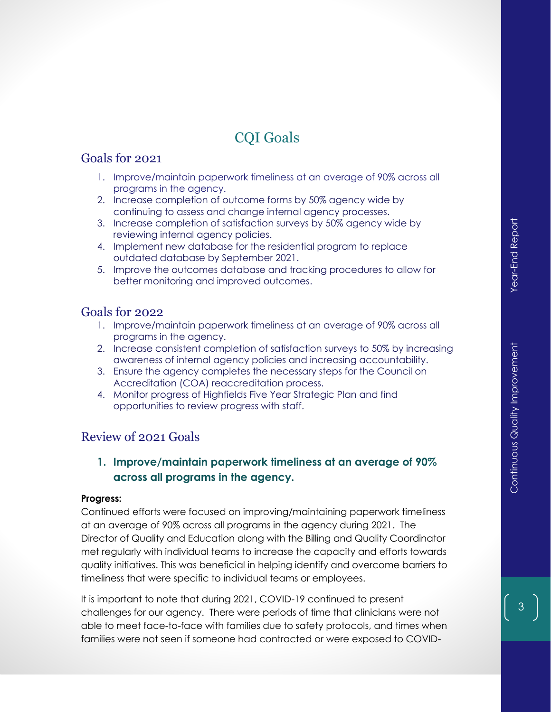# CQI Goals

#### Goals for 2021

- 1. Improve/maintain paperwork timeliness at an average of 90% across all programs in the agency.
- 2. Increase completion of outcome forms by 50% agency wide by continuing to assess and change internal agency processes.
- 3. Increase completion of satisfaction surveys by 50% agency wide by reviewing internal agency policies.
- 4. Implement new database for the residential program to replace outdated database by September 2021.
- 5. Improve the outcomes database and tracking procedures to allow for better monitoring and improved outcomes.

#### Goals for 2022

- 1. Improve/maintain paperwork timeliness at an average of 90% across all programs in the agency.
- 2. Increase consistent completion of satisfaction surveys to 50% by increasing awareness of internal agency policies and increasing accountability.
- 3. Ensure the agency completes the necessary steps for the Council on Accreditation (COA) reaccreditation process.
- 4. Monitor progress of Highfields Five Year Strategic Plan and find opportunities to review progress with staff.

# Review of 2021 Goals

**1. Improve/maintain paperwork timeliness at an average of 90% across all programs in the agency.**

#### **Progress:**

Continued efforts were focused on improving/maintaining paperwork timeliness at an average of 90% across all programs in the agency during 2021. The Director of Quality and Education along with the Billing and Quality Coordinator met regularly with individual teams to increase the capacity and efforts towards quality initiatives. This was beneficial in helping identify and overcome barriers to timeliness that were specific to individual teams or employees.

It is important to note that during 2021, COVID-19 continued to present challenges for our agency. There were periods of time that clinicians were not able to meet face-to-face with families due to safety protocols, and times when families were not seen if someone had contracted or were exposed to COVID-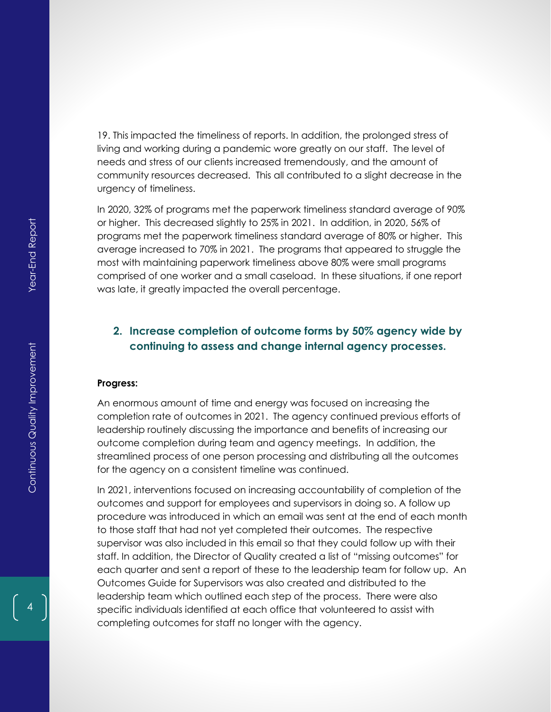19. This impacted the timeliness of reports. In addition, the prolonged stress of living and working during a pandemic wore greatly on our staff. The level of needs and stress of our clients increased tremendously, and the amount of community resources decreased. This all contributed to a slight decrease in the urgency of timeliness.

In 2020, 32% of programs met the paperwork timeliness standard average of 90% or higher. This decreased slightly to 25% in 2021. In addition, in 2020, 56% of programs met the paperwork timeliness standard average of 80% or higher. This average increased to 70% in 2021. The programs that appeared to struggle the most with maintaining paperwork timeliness above 80% were small programs comprised of one worker and a small caseload. In these situations, if one report was late, it greatly impacted the overall percentage.

## **2. Increase completion of outcome forms by 50% agency wide by continuing to assess and change internal agency processes.**

#### **Progress:**

An enormous amount of time and energy was focused on increasing the completion rate of outcomes in 2021. The agency continued previous efforts of leadership routinely discussing the importance and benefits of increasing our outcome completion during team and agency meetings. In addition, the streamlined process of one person processing and distributing all the outcomes for the agency on a consistent timeline was continued.

In 2021, interventions focused on increasing accountability of completion of the outcomes and support for employees and supervisors in doing so. A follow up procedure was introduced in which an email was sent at the end of each month to those staff that had not yet completed their outcomes. The respective supervisor was also included in this email so that they could follow up with their staff. In addition, the Director of Quality created a list of "missing outcomes" for each quarter and sent a report of these to the leadership team for follow up. An Outcomes Guide for Supervisors was also created and distributed to the leadership team which outlined each step of the process. There were also specific individuals identified at each office that volunteered to assist with completing outcomes for staff no longer with the agency.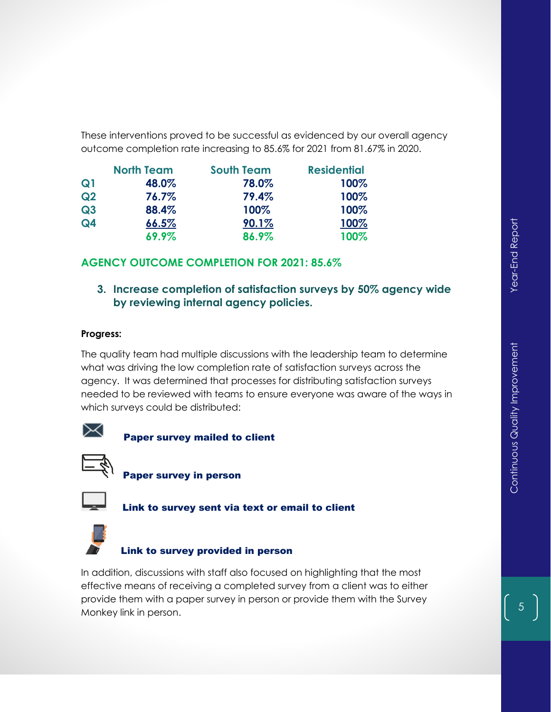These interventions proved to be successful as evidenced by our overall agency outcome completion rate increasing to 85.6% for 2021 from 81.67% in 2020.

|                | <b>North Team</b> | <b>South Team</b> | <b>Residential</b> |
|----------------|-------------------|-------------------|--------------------|
| Q <sub>1</sub> | 48.0%             | 78.0%             | 100%               |
| Q2             | 76.7%             | 79.4%             | 100%               |
| Q3             | 88.4%             | 100%              | 100%               |
| Q4             | 66.5%             | 90.1%             | 100%               |
|                | 69.9%             | 86.9%             | 100%               |

## **AGENCY OUTCOME COMPLETION FOR 2021: 85.6%**

## **3. Increase completion of satisfaction surveys by 50% agency wide by reviewing internal agency policies.**

#### **Progress:**

The quality team had multiple discussions with the leadership team to determine what was driving the low completion rate of satisfaction surveys across the agency. It was determined that processes for distributing satisfaction surveys needed to be reviewed with teams to ensure everyone was aware of the ways in which surveys could be distributed:



Paper survey mailed to client



Paper survey in person



Link to survey sent via text or email to client



#### Link to survey provided in person

In addition, discussions with staff also focused on highlighting that the most effective means of receiving a completed survey from a client was to either provide them with a paper survey in person or provide them with the Survey Monkey link in person.

5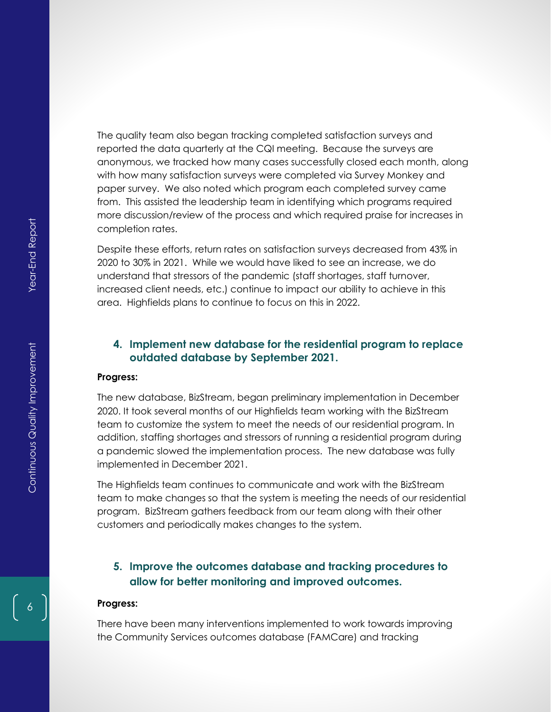The quality team also began tracking completed satisfaction surveys and reported the data quarterly at the CQI meeting. Because the surveys are anonymous, we tracked how many cases successfully closed each month, along with how many satisfaction surveys were completed via Survey Monkey and paper survey. We also noted which program each completed survey came from. This assisted the leadership team in identifying which programs required more discussion/review of the process and which required praise for increases in completion rates.

Despite these efforts, return rates on satisfaction surveys decreased from 43% in 2020 to 30% in 2021. While we would have liked to see an increase, we do understand that stressors of the pandemic (staff shortages, staff turnover, increased client needs, etc.) continue to impact our ability to achieve in this area. Highfields plans to continue to focus on this in 2022.

#### **4. Implement new database for the residential program to replace outdated database by September 2021.**

#### **Progress:**

The new database, BizStream, began preliminary implementation in December 2020. It took several months of our Highfields team working with the BizStream team to customize the system to meet the needs of our residential program. In addition, staffing shortages and stressors of running a residential program during a pandemic slowed the implementation process. The new database was fully implemented in December 2021.

The Highfields team continues to communicate and work with the BizStream team to make changes so that the system is meeting the needs of our residential program. BizStream gathers feedback from our team along with their other customers and periodically makes changes to the system.

#### **5. Improve the outcomes database and tracking procedures to allow for better monitoring and improved outcomes.**

#### **Progress:**

There have been many interventions implemented to work towards improving the Community Services outcomes database (FAMCare) and tracking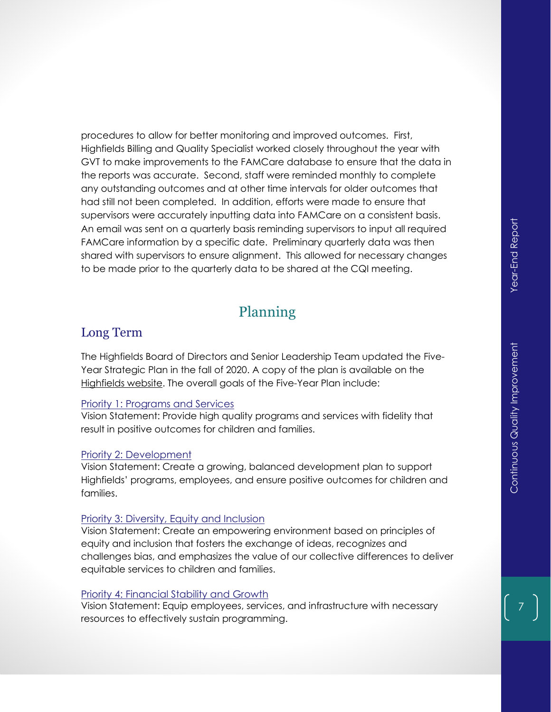procedures to allow for better monitoring and improved outcomes. First, Highfields Billing and Quality Specialist worked closely throughout the year with GVT to make improvements to the FAMCare database to ensure that the data in the reports was accurate. Second, staff were reminded monthly to complete any outstanding outcomes and at other time intervals for older outcomes that had still not been completed. In addition, efforts were made to ensure that supervisors were accurately inputting data into FAMCare on a consistent basis. An email was sent on a quarterly basis reminding supervisors to input all required FAMCare information by a specific date. Preliminary quarterly data was then shared with supervisors to ensure alignment. This allowed for necessary changes to be made prior to the quarterly data to be shared at the CQI meeting.

# Planning

## Long Term

The Highfields Board of Directors and Senior Leadership Team updated the Five-Year Strategic Plan in the fall of 2020. A copy of the plan is available on the [Highfields website.](https://www.highfields.org/history/reports/) The overall goals of the Five-Year Plan include:

#### Priority 1: Programs and Services

Vision Statement: Provide high quality programs and services with fidelity that result in positive outcomes for children and families.

#### Priority 2: Development

Vision Statement: Create a growing, balanced development plan to support Highfields' programs, employees, and ensure positive outcomes for children and families.

#### Priority 3: Diversity, Equity and Inclusion

Vision Statement: Create an empowering environment based on principles of equity and inclusion that fosters the exchange of ideas, recognizes and challenges bias, and emphasizes the value of our collective differences to deliver equitable services to children and families.

#### Priority 4: Financial Stability and Growth

Vision Statement: Equip employees, services, and infrastructure with necessary resources to effectively sustain programming.

7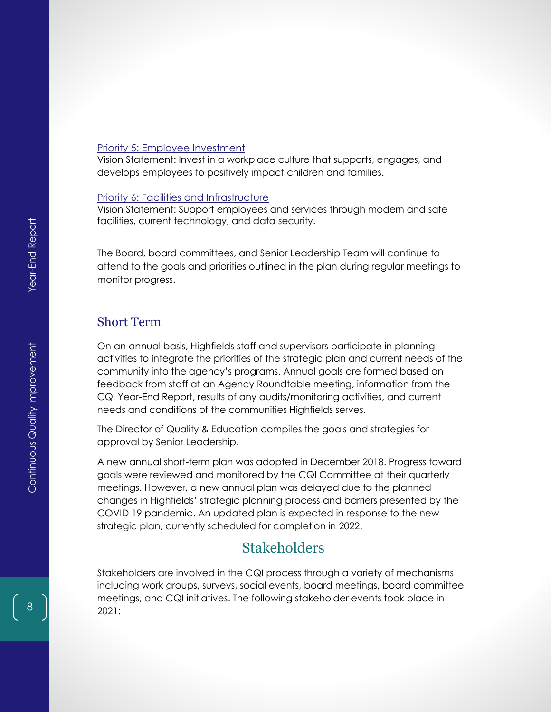#### Priority 5: Employee Investment

Vision Statement: Invest in a workplace culture that supports, engages, and develops employees to positively impact children and families.

#### Priority 6: Facilities and Infrastructure

Vision Statement: Support employees and services through modern and safe facilities, current technology, and data security.

The Board, board committees, and Senior Leadership Team will continue to attend to the goals and priorities outlined in the plan during regular meetings to monitor progress.

#### Short Term

On an annual basis, Highfields staff and supervisors participate in planning activities to integrate the priorities of the strategic plan and current needs of the community into the agency's programs. Annual goals are formed based on feedback from staff at an Agency Roundtable meeting, information from the CQI Year-End Report, results of any audits/monitoring activities, and current needs and conditions of the communities Highfields serves.

The Director of Quality & Education compiles the goals and strategies for approval by Senior Leadership.

A new annual short-term plan was adopted in December 2018. Progress toward goals were reviewed and monitored by the CQI Committee at their quarterly meetings. However, a new annual plan was delayed due to the planned changes in Highfields' strategic planning process and barriers presented by the COVID 19 pandemic. An updated plan is expected in response to the new strategic plan, currently scheduled for completion in 2022.

# **Stakeholders**

Stakeholders are involved in the CQI process through a variety of mechanisms including work groups, surveys, social events, board meetings, board committee meetings, and CQI initiatives. The following stakeholder events took place in 2021: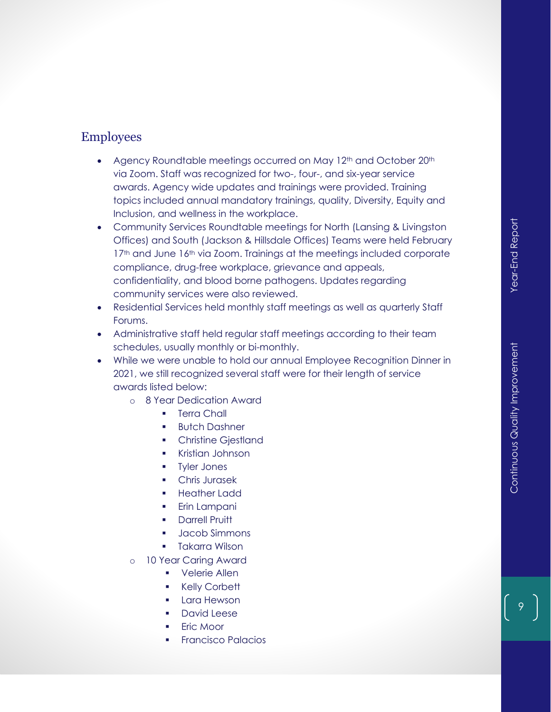# Employees

- Agency Roundtable meetings occurred on May 12<sup>th</sup> and October 20<sup>th</sup> via Zoom . Staff was recognized for two -, four -, and six -year service awards. Agency wide updates and trainings were provided. Training topics included annual mandatory trainings, quality, Diversity, Equity and Inclusion, and wellness in the workplace .
- Community Services Roundtable meetings for North (Lansing & Livingston Offices) and South (Jackson & Hillsdale Offices) Teams were held February 17<sup>th</sup> and June 16<sup>th</sup> via Zoom. Trainings at the meetings included corporate compliance, drug -free workplace, grievance and appeals, confidentiality, and blood borne pathogens. Updates regarding community services were also reviewed.
- Residential Services held monthly staff meetings as well as quarterly Staff Forums .
- Administrative staff held regular staff meetings according to their team schedules, usually monthly or bi -monthly.
- While we were unable to hold our annual Employee Recognition Dinner in 2021, we still recognized several staff were for their length of service awards listed below :
	- o 8 Year Dedication Award
		- **•** Terra Chall
		- **Butch Dashner**
		- **Christine Gjestland**
		- Kristian Johnson
		- **Tyler Jones**
		- Chris Jurasek
		- Heather Ladd
		- **Erin Lampani**
		- Darrell Pruitt
		- Jacob Simmons
		- **•** Takarra Wilson
	- o 10 Year Caring Award
		- Velerie Allen
		- Kelly Corbett
		- **Lara Hewson**
		- David Leese
		- Eric Moor
		- **Francisco Palacios**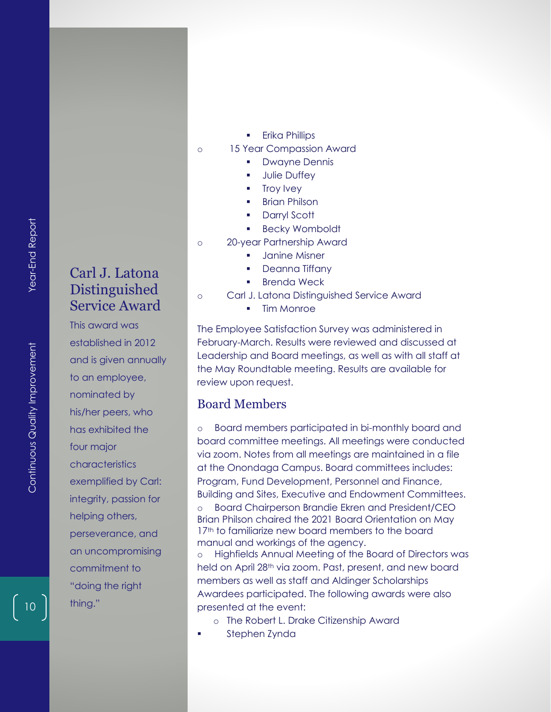- o 15 Year Compassion Award
	- **Dwayne Dennis**
	- **■** Julie Duffey
	- Troy Ivey
	- **Brian Philson**
	- Darryl Scott
	- Becky Womboldt
- o 20-year Partnership Award
	- Janine Misner
	- **•** Deanna Tiffany
	- **Brenda Weck**
- o Carl J. Latona Distinguished Service Award
	- **Tim Monroe**

The Employee Satisfaction Survey was administered in February-March. Results were reviewed and discussed at Leadership and Board meetings, as well as with all staff at the May Roundtable meeting. Results are available for review upon request.

#### Board Members

o Board members participated in bi-monthly board and board committee meetings. All meetings were conducted via zoom. Notes from all meetings are maintained in a file at the Onondaga Campus. Board committees includes: Program, Fund Development, Personnel and Finance, Building and Sites, Executive and Endowment Committees. o Board Chairperson Brandie Ekren and President/CEO

Brian Philson chaired the 2021 Board Orientation on May 17<sup>th</sup> to familiarize new board members to the board manual and workings of the agency.

Highfields Annual Meeting of the Board of Directors was held on April 28<sup>th</sup> via zoom. Past, present, and new board members as well as staff and Aldinger Scholarships Awardees participated. The following awards were also presented at the event:

- o The Robert L. Drake Citizenship Award
- Stephen Zynda

# Carl J. Latona Distinguished Service Award

This award was established in 2012 and is given annually to an employee, nominated by his/her peers, who has exhibited the four major characteristics exemplified by Carl: integrity, passion for helping others, perseverance, and an uncompromising commitment to "doing the right thing."

10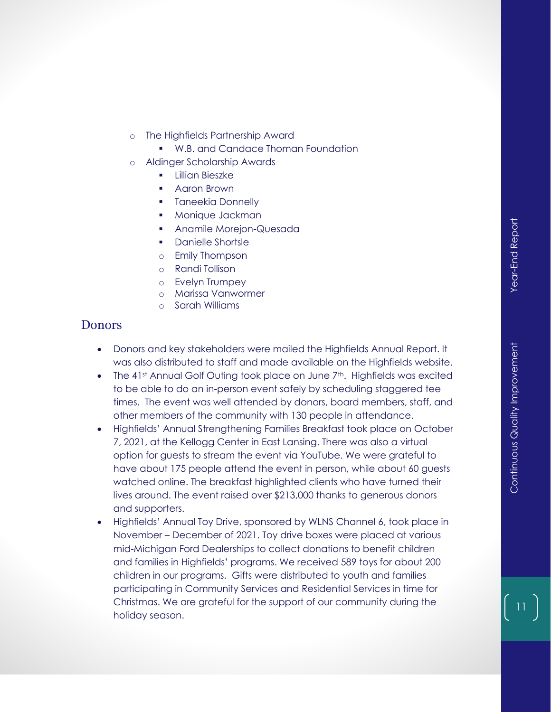- o The Highfields Partnership Award
	- W.B. and Candace Thoman Foundation
- o Aldinger Scholarship Awards
	- **·** Lillian Bieszke
	- Aaron Brown
	- **•** Taneekia Donnelly
	- Monique Jackman
	- Anamile Morejon-Quesada
	- Danielle Shortsle
	- o Emily Thompson
	- o Randi Tollison
	- o Evelyn Trumpey
	- o Marissa Vanwormer
	- o Sarah Williams

## **Donors**

- Donors and key stakeholders were mailed the Highfields Annual Report. It was also distributed to staff and made available on the Highfields website.
- The 41st Annual Golf Outing took place on June 7th. Highfields was excited to be able to do an in-person event safely by scheduling staggered tee times. The event was well attended by donors, board members, staff, and other members of the community with 130 people in attendance.
- Highfields' Annual Strengthening Families Breakfast took place on October 7, 2021, at the Kellogg Center in East Lansing. There was also a virtual option for guests to stream the event via YouTube. We were grateful to have about 175 people attend the event in person, while about 60 guests watched online. The breakfast highlighted clients who have turned their lives around. The event raised over \$213,000 thanks to generous donors and supporters.
- Highfields' Annual Toy Drive, sponsored by WLNS Channel 6, took place in November – December of 2021. Toy drive boxes were placed at various mid-Michigan Ford Dealerships to collect donations to benefit children and families in Highfields' programs. We received 589 toys for about 200 children in our programs. Gifts were distributed to youth and families participating in Community Services and Residential Services in time for Christmas. We are grateful for the support of our community during the holiday season.

11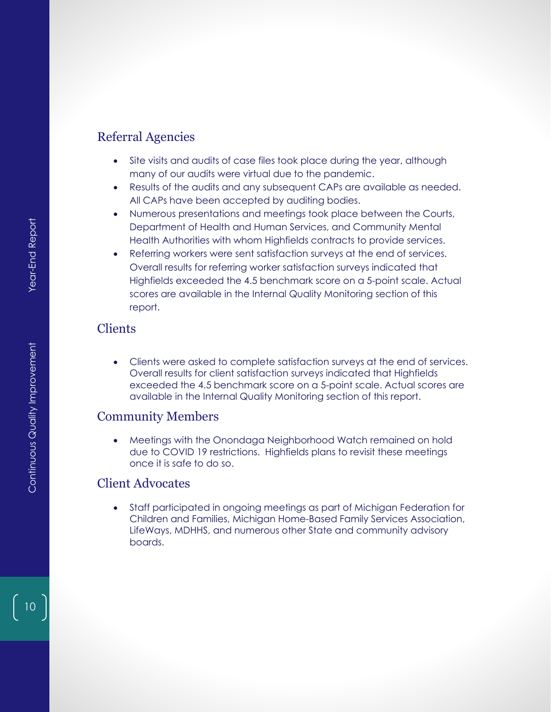## Referral Agencies

- Site visits and audits of case files took place during the year, although many of our audits were virtual due to the pandemic.
- Results of the audits and any subsequent CAPs are available as needed. All CAPs have been accepted by auditing bodies.
- Numerous presentations and meetings took place between the Courts, Department of Health and Human Services, and Community Mental Health Authorities with whom Highfields contracts to provide services.
- Referring workers were sent satisfaction surveys at the end of services. Overall results for referring worker satisfaction surveys indicated that Highfields exceeded the 4.5 benchmark score on a 5-point scale. Actual scores are available in the Internal Quality Monitoring section of this report.

## Clients

• Clients were asked to complete satisfaction surveys at the end of services. Overall results for client satisfaction surveys indicated that Highfields exceeded the 4.5 benchmark score on a 5-point scale. Actual scores are available in the Internal Quality Monitoring section of this report.

#### Community Members

• Meetings with the Onondaga Neighborhood Watch remained on hold due to COVID 19 restrictions. Highfields plans to revisit these meetings once it is safe to do so.

## Client Advocates

• Staff participated in ongoing meetings as part of Michigan Federation for Children and Families, Michigan Home-Based Family Services Association, LifeWays, MDHHS, and numerous other State and community advisory boards.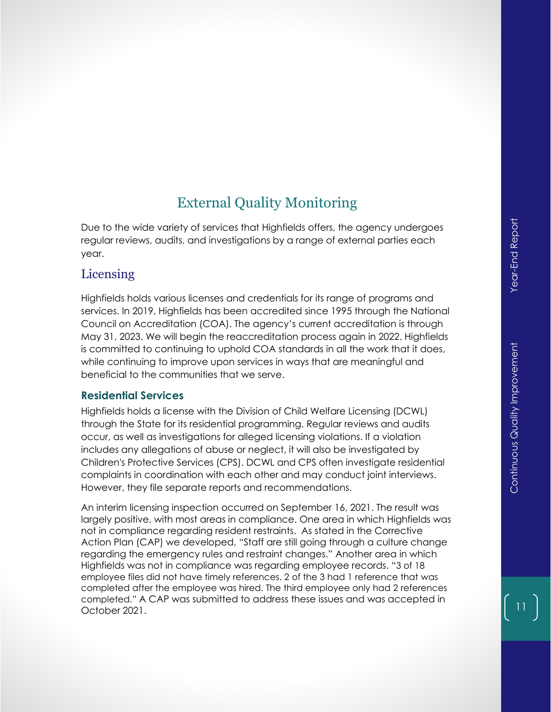# External Quality Monitoring

Due to the wide variety of services that Highfields offers, the agency undergoes regular reviews, audits, and investigations by a range of external parties each year.

## Licensing

Highfields holds various licenses and credentials for its range of programs and services. In 2019, Highfields has been accredited since 1995 through the National Council on Accreditation (COA). The agency's current accreditation is through May 31, 2023. We will begin the reaccreditation process again in 2022. Highfields is committed to continuing to uphold COA standards in all the work that it does, while continuing to improve upon services in ways that are meaningful and beneficial to the communities that we serve.

#### **Residential Services**

Highfields holds a license with the Division of Child Welfare Licensing (DCWL) through the State for its residential programming. Regular reviews and audits occur, as well as investigations for alleged licensing violations. If a violation includes any allegations of abuse or neglect, it will also be investigated by Children's Protective Services (CPS). DCWL and CPS often investigate residential complaints in coordination with each other and may conduct joint interviews. However, they file separate reports and recommendations.

An interim licensing inspection occurred on September 16, 2021. The result was largely positive, with most areas in compliance. One area in which Highfields was not in compliance regarding resident restraints. As stated in the Corrective Action Plan (CAP) we developed, "Staff are still going through a culture change regarding the emergency rules and restraint changes." Another area in which Highfields was not in compliance was regarding employee records. "3 of 18 employee files did not have timely references. 2 of the 3 had 1 reference that was completed after the employee was hired. The third employee only had 2 references completed." A CAP was submitted to address these issues and was accepted in October 2021.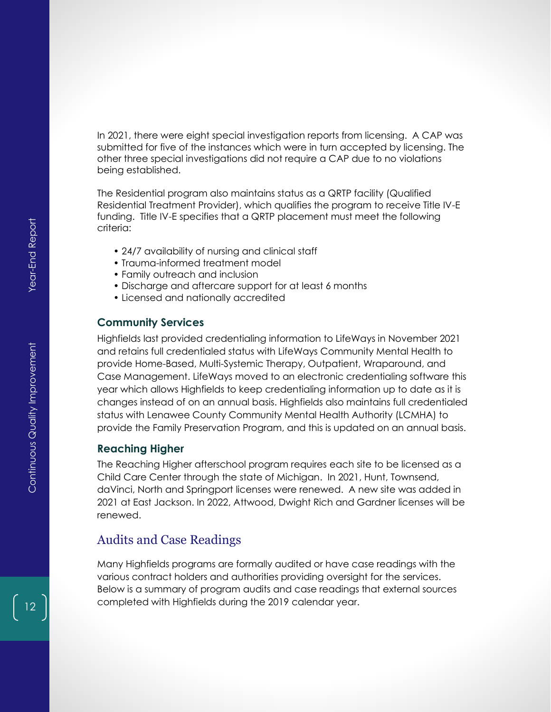In 2021, there were eight special investigation reports from licensing. A CAP was submitted for five of the instances which were in turn accepted by licensing. The other three special investigations did not require a CAP due to no violations being established.

The Residential program also maintains status as a QRTP facility (Qualified Residential Treatment Provider), which qualifies the program to receive Title IV-E funding. Title IV-E specifies that a QRTP placement must meet the following criteria:

- 24/7 availability of nursing and clinical staff
- Trauma-informed treatment model
- Family outreach and inclusion
- Discharge and aftercare support for at least 6 months
- Licensed and nationally accredited

#### **Community Services**

Highfields last provided credentialing information to LifeWays in November 2021 and retains full credentialed status with LifeWays Community Mental Health to provide Home-Based, Multi-Systemic Therapy, Outpatient, Wraparound, and Case Management. LifeWays moved to an electronic credentialing software this year which allows Highfields to keep credentialing information up to date as it is changes instead of on an annual basis. Highfields also maintains full credentialed status with Lenawee County Community Mental Health Authority (LCMHA) to provide the Family Preservation Program, and this is updated on an annual basis.

#### **Reaching Higher**

The Reaching Higher afterschool program requires each site to be licensed as a Child Care Center through the state of Michigan. In 2021, Hunt, Townsend, daVinci, North and Springport licenses were renewed. A new site was added in 2021 at East Jackson. In 2022, Attwood, Dwight Rich and Gardner licenses will be renewed.

#### Audits and Case Readings

Many Highfields programs are formally audited or have case readings with the various contract holders and authorities providing oversight for the services. Below is a summary of program audits and case readings that external sources completed with Highfields during the 2019 calendar year.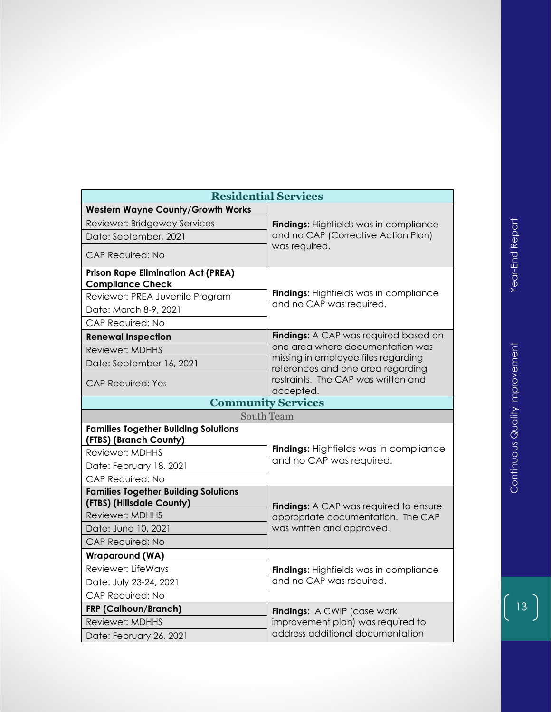| <b>Residential Services</b>                                              |                                                                          |  |  |  |
|--------------------------------------------------------------------------|--------------------------------------------------------------------------|--|--|--|
| <b>Western Wayne County/Growth Works</b>                                 |                                                                          |  |  |  |
| Reviewer: Bridgeway Services                                             | Findings: Highfields was in compliance                                   |  |  |  |
| Date: September, 2021                                                    | and no CAP (Corrective Action Plan)                                      |  |  |  |
| CAP Required: No                                                         | was required.                                                            |  |  |  |
| <b>Prison Rape Elimination Act (PREA)</b><br><b>Compliance Check</b>     |                                                                          |  |  |  |
| Reviewer: PREA Juvenile Program                                          | <b>Findings:</b> Highfields was in compliance                            |  |  |  |
| Date: March 8-9, 2021                                                    | and no CAP was required.                                                 |  |  |  |
| CAP Required: No                                                         |                                                                          |  |  |  |
| <b>Renewal Inspection</b>                                                | <b>Findings:</b> A CAP was required based on                             |  |  |  |
| Reviewer: MDHHS                                                          | one area where documentation was                                         |  |  |  |
| Date: September 16, 2021                                                 | missing in employee files regarding<br>references and one area regarding |  |  |  |
| <b>CAP Required: Yes</b>                                                 | restraints. The CAP was written and<br>accepted.                         |  |  |  |
| <b>Community Services</b>                                                |                                                                          |  |  |  |
| <b>South Team</b>                                                        |                                                                          |  |  |  |
| <b>Families Together Building Solutions</b><br>(FTBS) (Branch County)    |                                                                          |  |  |  |
| <b>Reviewer: MDHHS</b>                                                   | <b>Findings:</b> Highfields was in compliance                            |  |  |  |
| Date: February 18, 2021                                                  | and no CAP was required.                                                 |  |  |  |
| CAP Required: No                                                         |                                                                          |  |  |  |
| <b>Families Together Building Solutions</b><br>(FTBS) (Hillsdale County) | <b>Findings:</b> A CAP was required to ensure                            |  |  |  |
| <b>Reviewer: MDHHS</b>                                                   | appropriate documentation. The CAP                                       |  |  |  |
| Date: June 10, 2021                                                      | was written and approved.                                                |  |  |  |
| <b>CAP Required: No</b>                                                  |                                                                          |  |  |  |
| <b>Wraparound (WA)</b>                                                   |                                                                          |  |  |  |
| Reviewer: LifeWays                                                       | <b>Findings:</b> Highfields was in compliance                            |  |  |  |
| Date: July 23-24, 2021                                                   | and no CAP was required.                                                 |  |  |  |
| CAP Required: No                                                         |                                                                          |  |  |  |
| FRP (Calhoun/Branch)                                                     | Findings: A CWIP (case work                                              |  |  |  |
| Reviewer: MDHHS                                                          | improvement plan) was required to                                        |  |  |  |
| Date: February 26, 2021                                                  | address additional documentation                                         |  |  |  |

 $\begin{pmatrix} 13 \end{pmatrix}$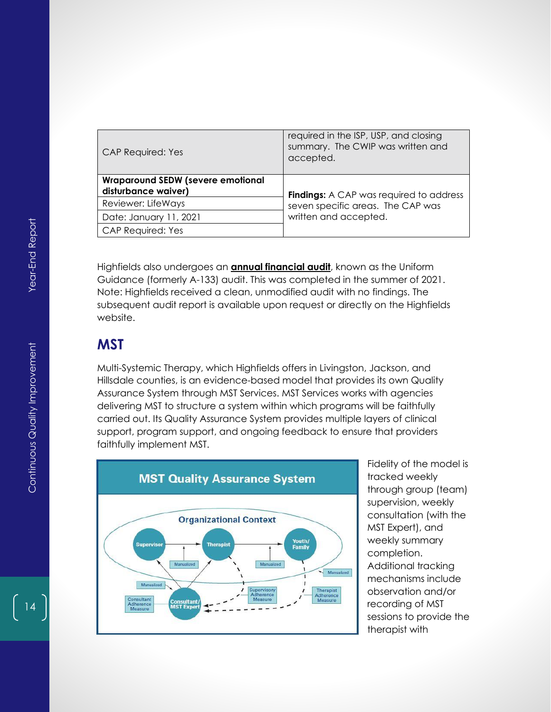| <b>CAP Required: Yes</b>                                        | required in the ISP, USP, and closing<br>summary. The CWIP was written and<br>accepted. |
|-----------------------------------------------------------------|-----------------------------------------------------------------------------------------|
| <b>Wraparound SEDW (severe emotional</b><br>disturbance waiver) | <b>Findings:</b> A CAP was required to address                                          |
| Reviewer: LifeWays                                              | seven specific areas. The CAP was                                                       |
| Date: January 11, 2021                                          | written and accepted.                                                                   |
| <b>CAP Required: Yes</b>                                        |                                                                                         |

Highfields also undergoes an **annual financial audit**, known as the Uniform Guidance (formerly A-133) audit. This was completed in the summer of 2021. Note: Highfields received a clean, unmodified audit with no findings. The subsequent audit report is available upon request or directly on the Highfields website.

# **MST**

Multi-Systemic Therapy, which Highfields offers in Livingston, Jackson, and Hillsdale counties, is an evidence-based model that provides its own Quality Assurance System through MST Services. MST Services works with agencies delivering MST to structure a system within which programs will be faithfully carried out. Its Quality Assurance System provides multiple layers of clinical support, program support, and ongoing feedback to ensure that providers faithfully implement MST.



Fidelity of the model is tracked weekly through group (team) supervision, weekly consultation (with the MST Expert), and weekly summary completion. Additional tracking mechanisms include observation and/or recording of MST sessions to provide the therapist with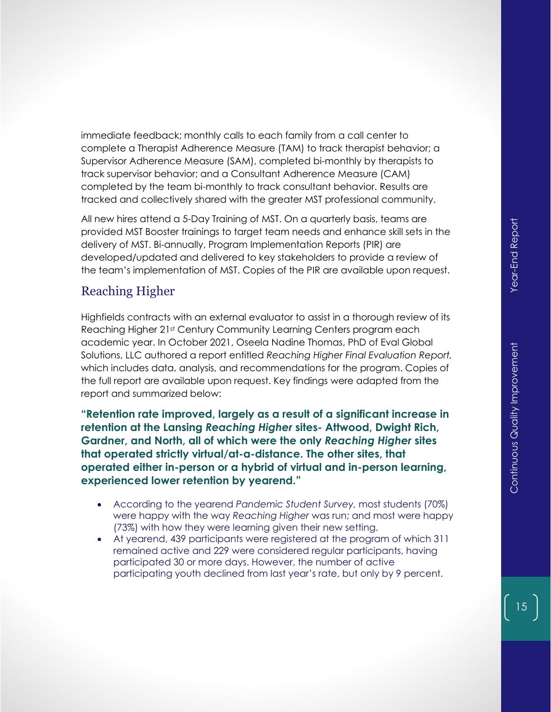immediate feedback; monthly calls to each family from a call center to complete a Therapist Adherence Measure (TAM) to track therapist behavior; a Supervisor Adherence Measure (SAM), completed bi-monthly by therapists to track supervisor behavior; and a Consultant Adherence Measure (CAM) completed by the team bi-monthly to track consultant behavior. Results are tracked and collectively shared with the greater MST professional community.

All new hires attend a 5-Day Training of MST. On a quarterly basis, teams are provided MST Booster trainings to target team needs and enhance skill sets in the delivery of MST. Bi-annually, Program Implementation Reports (PIR) are developed/updated and delivered to key stakeholders to provide a review of the team's implementation of MST. Copies of the PIR are available upon request.

# Reaching Higher

Highfields contracts with an external evaluator to assist in a thorough review of its Reaching Higher 21st Century Community Learning Centers program each academic year. In October 2021, Oseela Nadine Thomas, PhD of Eval Global Solutions, LLC authored a report entitled *Reaching Higher Final Evaluation Report,*  which includes data, analysis, and recommendations for the program. Copies of the full report are available upon request. Key findings were adapted from the report and summarized below:

**"Retention rate improved, largely as a result of a significant increase in retention at the Lansing** *Reaching Higher* **sites- Attwood, Dwight Rich, Gardner, and North, all of which were the only** *Reaching Higher* **sites that operated strictly virtual/at-a-distance. The other sites, that operated either in-person or a hybrid of virtual and in-person learning, experienced lower retention by yearend."** 

- According to the yearend *Pandemic Student Survey,* most students (70%) were happy with the way *Reaching Higher* was run; and most were happy (73%) with how they were learning given their new setting.
- At yearend, 439 participants were registered at the program of which 311 remained active and 229 were considered regular participants, having participated 30 or more days. However, the number of active participating youth declined from last year's rate, but only by 9 percent.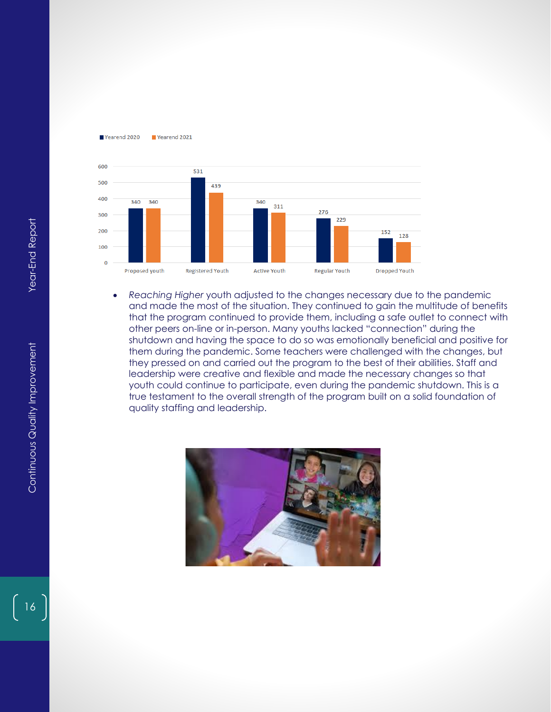



• Reaching Higher youth could studied to the changes necessary due to the pandemic and model the computer that the program continued to provide them, including a safe outlet to connect other pears on-fine or the pears. Man and made the most of the situation. They continued to gain the multitude of benefits that the program continued to provide them, including a safe outlet to connect with other peers on-line or in-person. Many youths lacked "connection" during the shutdown and having the space to do so was emotionally beneficial and positive for them during the pandemic. Some teachers were challenged with the changes, but they pressed on and carried out the program to the best of their abilities. Staff and leadership were creative and flexible and made the necessary changes so that youth could continue to participate, even during the pandemic shutdown. This is a true testament to the overall strength of the program built on a solid foundation of quality staffing and leadership.

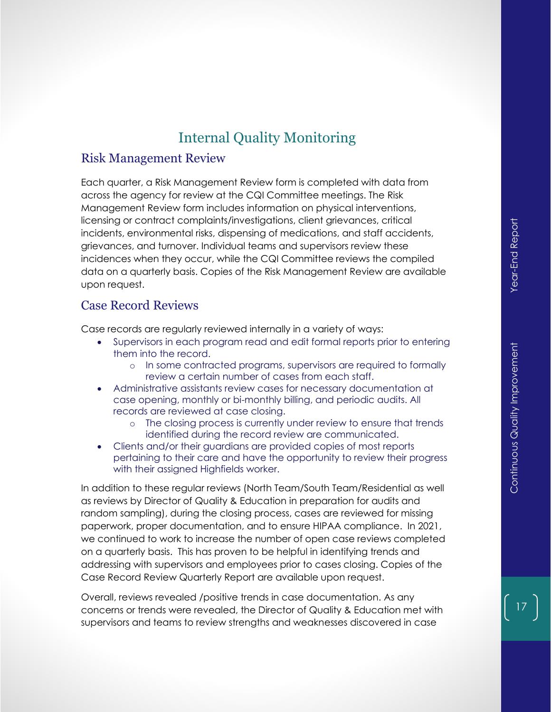# Internal Quality Monitoring

#### Risk Management Review

Each quarter, a Risk Management Review form is completed with data from across the agency for review at the CQI Committee meetings. The Risk Management Review form includes information on physical interventions, licensing or contract complaints/investigations, client grievances, critical incidents, environmental risks, dispensing of medications, and staff accidents, grievances, and turnover. Individual teams and supervisors review these incidences when they occur, while the CQI Committee reviews the compiled data on a quarterly basis. Copies of the Risk Management Review are available upon request.

## Case Record Reviews

Case records are regularly reviewed internally in a variety of ways:

- Supervisors in each program read and edit formal reports prior to entering them into the record.
	- o In some contracted programs, supervisors are required to formally review a certain number of cases from each staff.
- Administrative assistants review cases for necessary documentation at case opening, monthly or bi-monthly billing, and periodic audits. All records are reviewed at case closing.
	- o The closing process is currently under review to ensure that trends identified during the record review are communicated.
- Clients and/or their guardians are provided copies of most reports pertaining to their care and have the opportunity to review their progress with their assigned Highfields worker.

In addition to these regular reviews (North Team/South Team/Residential as well as reviews by Director of Quality & Education in preparation for audits and random sampling), during the closing process, cases are reviewed for missing paperwork, proper documentation, and to ensure HIPAA compliance. In 2021, we continued to work to increase the number of open case reviews completed on a quarterly basis. This has proven to be helpful in identifying trends and addressing with supervisors and employees prior to cases closing. Copies of the Case Record Review Quarterly Report are available upon request.

Overall, reviews revealed /positive trends in case documentation. As any concerns or trends were revealed, the Director of Quality & Education met with supervisors and teams to review strengths and weaknesses discovered in case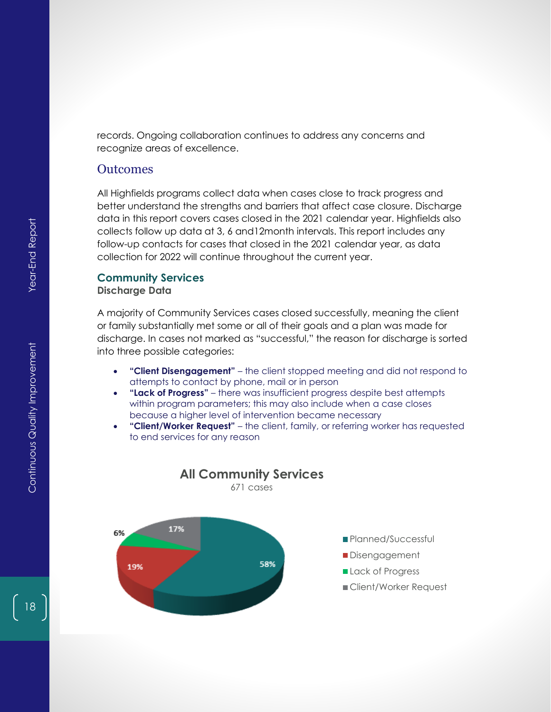records. Ongoing collaboration continues to address any concerns and recognize areas of excellence.

#### **Outcomes**

All Highfields programs collect data when cases close to track progress and better understand the strengths and barriers that affect case closure. Discharge data in this report covers cases closed in the 2021 calendar year. Highfields also collects follow up data at 3, 6 and12month intervals. This report includes any follow-up contacts for cases that closed in the 2021 calendar year, as data collection for 2022 will continue throughout the current year.

#### **Community Services Discharge Data**

A majority of Community Services cases closed successfully, meaning the client or family substantially met some or all of their goals and a plan was made for discharge. In cases not marked as "successful," the reason for discharge is sorted into three possible categories:

- **"Client Disengagement"** the client stopped meeting and did not respond to attempts to contact by phone, mail or in person
- **"Lack of Progress"** there was insufficient progress despite best attempts within program parameters; this may also include when a case closes because a higher level of intervention became necessary

**All Community Services** 671 cases

• **"Client/Worker Request"** – the client, family, or referring worker has requested to end services for any reason

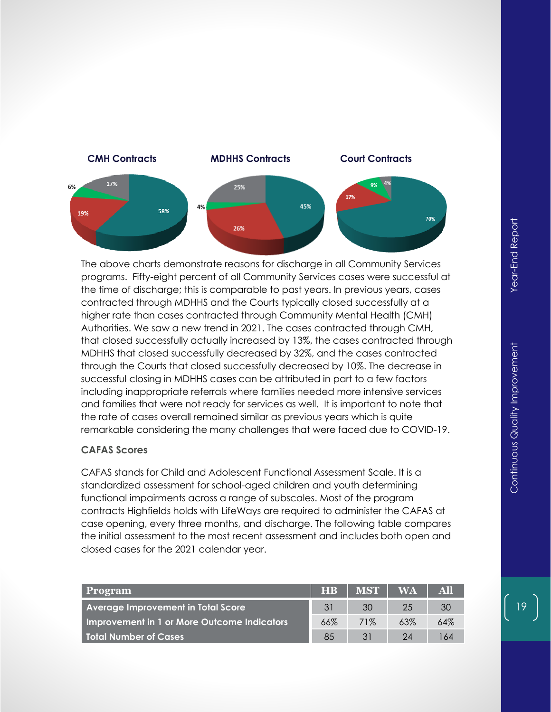

The above charts demonstrate reasons for discharge in all Community Services programs. Fifty-eight percent of all Community Services cases were successful at the time of discharge; this is comparable to past years. In previous years, cases contracted through MDHHS and the Courts typically closed successfully at a higher rate than cases contracted through Community Mental Health (CMH) Authorities. We saw a new trend in 2021. The cases contracted through CMH, that closed successfully actually increased by 13%, the cases contracted through MDHHS that closed successfully decreased by 32%, and the cases contracted through the Courts that closed successfully decreased by 10%. The decrease in successful closing in MDHHS cases can be attributed in part to a few factors including inappropriate referrals where families needed more intensive services and families that were not ready for services as well. It is important to note that the rate of cases overall remained similar as previous years which is quite remarkable considering the many challenges that were faced due to COVID-19.

#### **CAFAS Scores**

CAFAS stands for Child and Adolescent Functional Assessment Scale. It is a standardized assessment for school-aged children and youth determining functional impairments across a range of subscales. Most of the program contracts Highfields holds with LifeWays are required to administer the CAFAS at case opening, every three months, and discharge. The following table compares the initial assessment to the most recent assessment and includes both open and closed cases for the 2021 calendar year.

| <b>Program</b>                              | <b>HB</b> | <b>MST</b> | <b>WA</b> | All |
|---------------------------------------------|-----------|------------|-----------|-----|
| <b>Average Improvement in Total Score</b>   | 31        | 30         | 25        | 30  |
| Improvement in 1 or More Outcome Indicators | 66%       | 71%        | 63%       | 64% |
| l Total Number of Cases                     | 85        | 31         | 24        | 64  |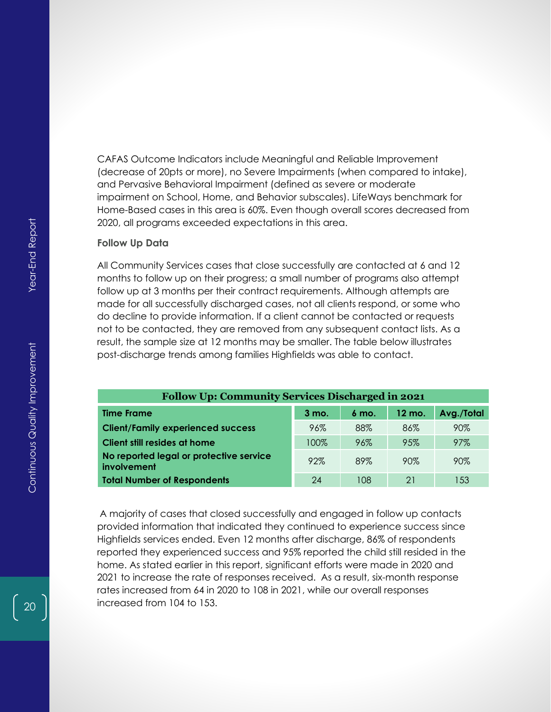CAFAS Outcome Indicators include Meaningful and Reliable Improvement (decrease of 20pts or more), no Severe Impairments (when compared to intake), and Pervasive Behavioral Impairment (defined as severe or moderate impairment on School, Home, and Behavior subscales). LifeWays benchmark for Home-Based cases in this area is 60%. Even though overall scores decreased from 2020, all programs exceeded expectations in this area.

#### **Follow Up Data**

All Community Services cases that close successfully are contacted at 6 and 12 months to follow up on their progress; a small number of programs also attempt follow up at 3 months per their contract requirements. Although attempts are made for all successfully discharged cases, not all clients respond, or some who do decline to provide information. If a client cannot be contacted or requests not to be contacted, they are removed from any subsequent contact lists. As a result, the sample size at 12 months may be smaller. The table below illustrates post-discharge trends among families Highfields was able to contact.

| <b>Follow Up: Community Services Discharged in 2021</b> |                  |                  |                   |            |  |  |
|---------------------------------------------------------|------------------|------------------|-------------------|------------|--|--|
| <b>Time Frame</b>                                       | $3 \text{ mo}$ . | $6 \text{ mo}$ . | $12 \text{ mo}$ . | Avg./Total |  |  |
| <b>Client/Family experienced success</b>                | 96%              | 88%              | 86%               | 90%        |  |  |
| Client still resides at home                            | 100%             | 96%              | 95%               | 97%        |  |  |
| No reported legal or protective service<br>involvement  | 92%              | 89%              | 90%               | 90%        |  |  |
| <b>Total Number of Respondents</b>                      | 24               | 108              | 21                | 153        |  |  |

A majority of cases that closed successfully and engaged in follow up contacts provided information that indicated they continued to experience success since Highfields services ended. Even 12 months after discharge, 86% of respondents reported they experienced success and 95% reported the child still resided in the home. As stated earlier in this report, significant efforts were made in 2020 and 2021 to increase the rate of responses received. As a result, six-month response rates increased from 64 in 2020 to 108 in 2021, while our overall responses increased from 104 to 153.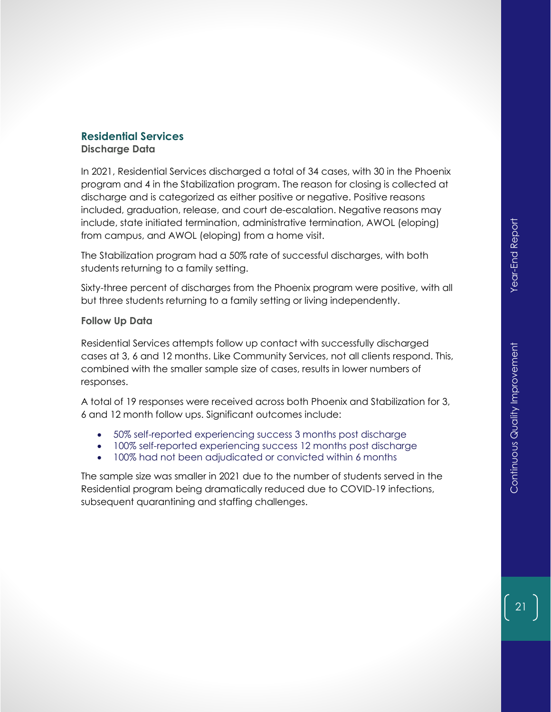# **Residential Services**

**Discharge Data**

In 2021, Residential Services discharged a total of 34 cases, with 30 in the Phoenix program and 4 in the Stabilization program. The reason for closing is collected at discharge and is categorized as either positive or negative. Positive reasons included, graduation, release, and court de-escalation. Negative reasons may include, state initiated termination, administrative termination, AWOL (eloping) from campus, and AWOL (eloping) from a home visit.

The Stabilization program had a 50% rate of successful discharges, with both students returning to a family setting.

Sixty-three percent of discharges from the Phoenix program were positive, with all but three students returning to a family setting or living independently.

#### **Follow Up Data**

Residential Services attempts follow up contact with successfully discharged cases at 3, 6 and 12 months. Like Community Services, not all clients respond. This, combined with the smaller sample size of cases, results in lower numbers of responses.

A total of 19 responses were received across both Phoenix and Stabilization for 3, 6 and 12 month follow ups. Significant outcomes include:

- 50% self-reported experiencing success 3 months post discharge
- 100% self-reported experiencing success 12 months post discharge
- 100% had not been adjudicated or convicted within 6 months

The sample size was smaller in 2021 due to the number of students served in the Residential program being dramatically reduced due to COVID-19 infections, subsequent quarantining and staffing challenges.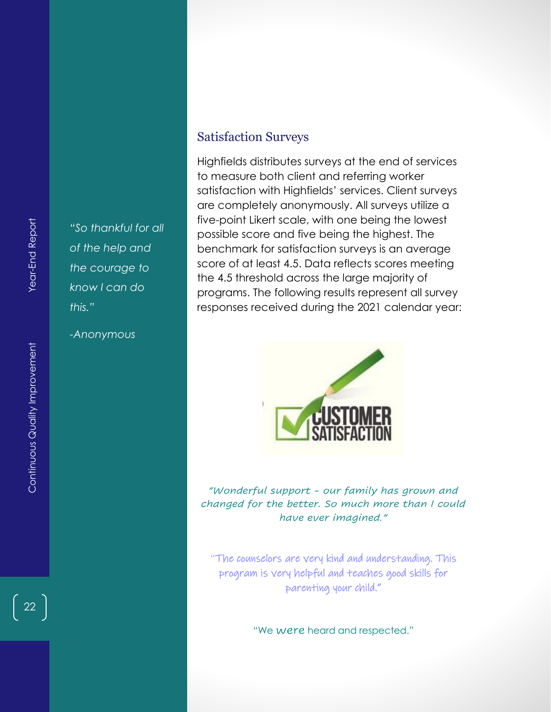*"So thankful for all of the help and the courage to know I can do this."*

*-Anonymous*

## Satisfaction Surveys

Highfields distributes surveys at the end of services to measure both client and referring worker satisfaction with Highfields' services. Client surveys are completely anonymously. All surveys utilize a five-point Likert scale, with one being the lowest possible score and five being the highest. The benchmark for satisfaction surveys is an average score of at least 4.5. Data reflects scores meeting the 4.5 threshold across the large majority of programs. The following results represent all survey responses received during the 2021 calendar year:



*"Wonderful support - our family has grown and changed for the better. So much more than I could have ever imagined."*

"The counselors are very kind and understanding. This program is very helpful and teaches good skills for parenting your child."

"We were heard and respected."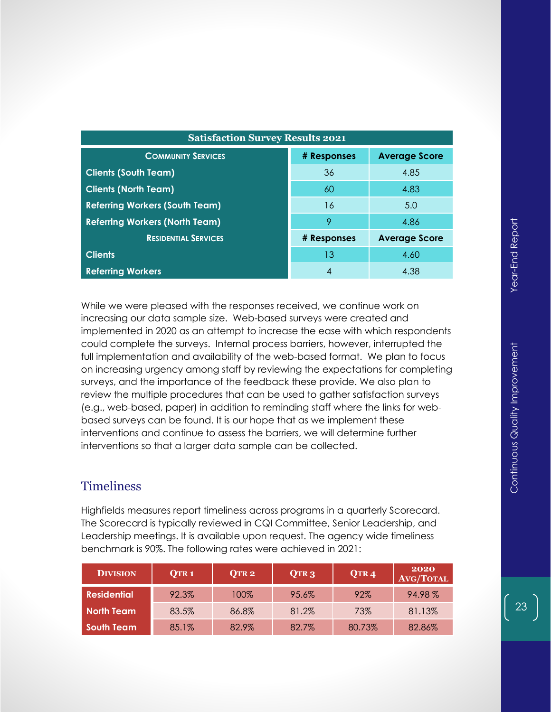| <b>Satisfaction Survey Results 2021</b> |             |                      |  |  |  |
|-----------------------------------------|-------------|----------------------|--|--|--|
| <b>COMMUNITY SERVICES</b>               | # Responses | <b>Average Score</b> |  |  |  |
| <b>Clients (South Team)</b>             | 36          | 4.85                 |  |  |  |
| <b>Clients (North Team)</b>             | 60          | 4.83                 |  |  |  |
| <b>Referring Workers (South Team)</b>   | 16          | 5.0                  |  |  |  |
| <b>Referring Workers (North Team)</b>   | 9           | 4.86                 |  |  |  |
| <b>RESIDENTIAL SERVICES</b>             | # Responses | <b>Average Score</b> |  |  |  |
| <b>Clients</b>                          | 13          | 4.60                 |  |  |  |
| <b>Referring Workers</b>                |             | 4.38                 |  |  |  |

While we were pleased with the responses received, we continue work on increasing our data sample size. Web-based surveys were created and implemented in 2020 as an attempt to increase the ease with which respondents could complete the surveys. Internal process barriers, however, interrupted the full implementation and availability of the web-based format. We plan to focus on increasing urgency among staff by reviewing the expectations for completing surveys, and the importance of the feedback these provide. We also plan to review the multiple procedures that can be used to gather satisfaction surveys (e.g., web-based, paper) in addition to reminding staff where the links for webbased surveys can be found. It is our hope that as we implement these interventions and continue to assess the barriers, we will determine further interventions so that a larger data sample can be collected.

# **Timeliness**

Highfields measures report timeliness across programs in a quarterly Scorecard. The Scorecard is typically reviewed in CQI Committee, Senior Leadership, and Leadership meetings. It is available upon request. The agency wide timeliness benchmark is 90%. The following rates were achieved in 2021:

| <b>DIVISION</b>    | QTR <sub>1</sub> | QTR <sub>2</sub> | QTR <sub>3</sub> | QTR 4  | 2020<br><b>AVG/TOTAL</b> |
|--------------------|------------------|------------------|------------------|--------|--------------------------|
| <b>Residential</b> | 92.3%            | 100%             | 95.6%            | 92%    | 94.98%                   |
| North Team         | 83.5%            | 86.8%            | 81.2%            | 73%    | 81.13%                   |
| <b>South Team</b>  | 85.1%            | 82.9%            | 82.7%            | 80.73% | 82.86%                   |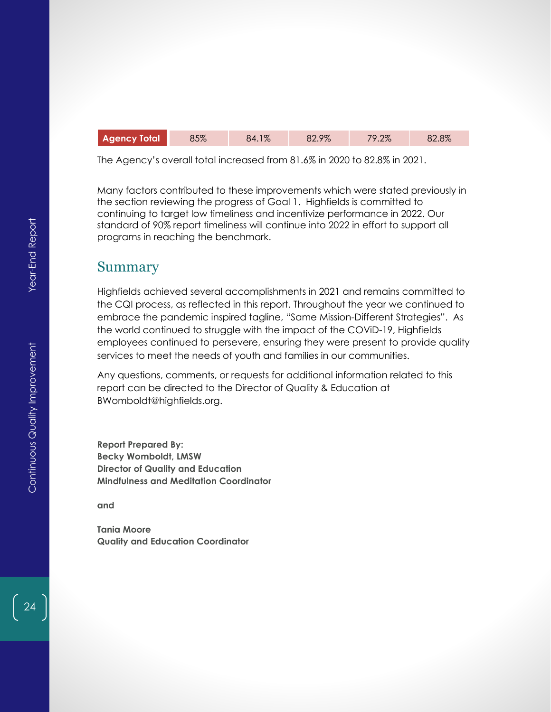| <b>Agency Total</b> | 85% | 84.1% | 82.9% | 79.2% | 82.8% |
|---------------------|-----|-------|-------|-------|-------|
|---------------------|-----|-------|-------|-------|-------|

The Agency's overall total increased from 81.6% in 2020 to 82.8% in 2021.

Many factors contributed to these improvements which were stated previously in the section reviewing the progress of Goal 1. Highfields is committed to continuing to target low timeliness and incentivize performance in 2022. Our standard of 90% report timeliness will continue into 2022 in effort to support all programs in reaching the benchmark.

# Summary

Highfields achieved several accomplishments in 2021 and remains committed to the CQI process, as reflected in this report. Throughout the year we continued to embrace the pandemic inspired tagline, "Same Mission-Different Strategies". As the world continued to struggle with the impact of the COViD-19, Highfields employees continued to persevere, ensuring they were present to provide quality services to meet the needs of youth and families in our communities.

Any questions, comments, or requests for additional information related to this report can be directed to the Director of Quality & Education at BWomboldt@highfields.org.

**Report Prepared By: Becky Womboldt, LMSW Director of Quality and Education Mindfulness and Meditation Coordinator**

**and**

**Tania Moore Quality and Education Coordinator**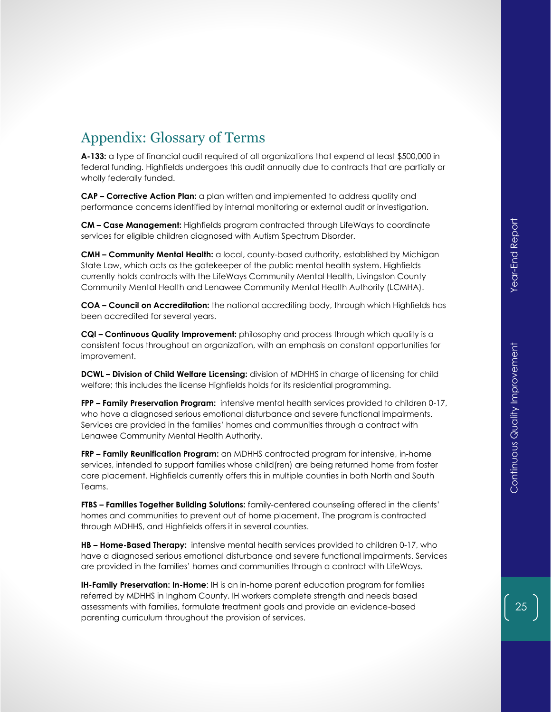# Appendix: Glossary of Terms

**A-133:** a type of financial audit required of all organizations that expend at least \$500,000 in federal funding. Highfields undergoes this audit annually due to contracts that are partially or wholly federally funded.

**CAP – Corrective Action Plan:** a plan written and implemented to address quality and performance concerns identified by internal monitoring or external audit or investigation.

**CM – Case Management:** Highfields program contracted through LifeWays to coordinate services for eligible children diagnosed with Autism Spectrum Disorder.

**CMH – Community Mental Health:** a local, county-based authority, established by Michigan State Law, which acts as the gatekeeper of the public mental health system. Highfields currently holds contracts with the LifeWays Community Mental Health, Livingston County Community Mental Health and Lenawee Community Mental Health Authority (LCMHA).

**COA – Council on Accreditation:** the national accrediting body, through which Highfields has been accredited for several years.

**CQI – Continuous Quality Improvement:** philosophy and process through which quality is a consistent focus throughout an organization, with an emphasis on constant opportunities for improvement.

**DCWL – Division of Child Welfare Licensing:** division of MDHHS in charge of licensing for child welfare; this includes the license Highfields holds for its residential programming.

**FPP – Family Preservation Program:** intensive mental health services provided to children 0-17, who have a diagnosed serious emotional disturbance and severe functional impairments. Services are provided in the families' homes and communities through a contract with Lenawee Community Mental Health Authority.

**FRP – Family Reunification Program:** an MDHHS contracted program for intensive, in-home services, intended to support families whose child(ren) are being returned home from foster care placement. Highfields currently offers this in multiple counties in both North and South Teams.

**FTBS – Families Together Building Solutions:** family-centered counseling offered in the clients' homes and communities to prevent out of home placement. The program is contracted through MDHHS, and Highfields offers it in several counties.

**HB – Home-Based Therapy:** intensive mental health services provided to children 0-17, who have a diagnosed serious emotional disturbance and severe functional impairments. Services are provided in the families' homes and communities through a contract with LifeWays.

**IH-Family Preservation: In-Home**: IH is an in-home parent education program for families referred by MDHHS in Ingham County. IH workers complete strength and needs based assessments with families, formulate treatment goals and provide an evidence-based parenting curriculum throughout the provision of services.